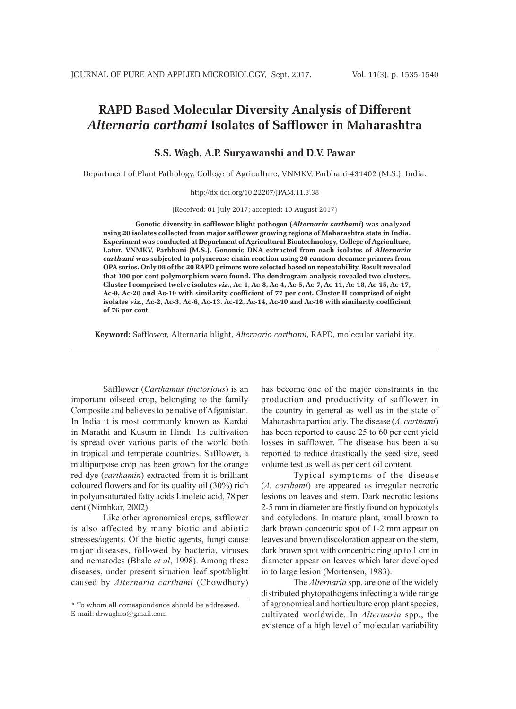# **RAPD Based Molecular Diversity Analysis of Different**  *Alternaria carthami* **Isolates of Safflower in Maharashtra**

**S.S. Wagh, A.P. Suryawanshi and D.V. Pawar**

Department of Plant Pathology, College of Agriculture, VNMKV, Parbhani-431402 (M.S.), India.

http://dx.doi.org/10.22207/JPAM.11.3.38

(Received: 01 July 2017; accepted: 10 August 2017)

**Genetic diversity in safflower blight pathogen (***Alternaria carthami***) was analyzed using 20 isolates collected from major safflower growing regions of Maharashtra state in India. Experiment was conducted at Department of Agricultural Bioatechnology, College of Agriculture, Latur, VNMKV, Parbhani (M.S.). Genomic DNA extracted from each isolates of** *Alternaria carthami* **was subjected to polymerase chain reaction using 20 random decamer primers from OPA series. Only 08 of the 20 RAPD primers were selected based on repeatability. Result revealed that 100 per cent polymorphism were found. The dendrogram analysis revealed two clusters, Cluster I comprised twelve isolates** *viz***., Ac-1, Ac-8, Ac-4, Ac-5, Ac-7, Ac-11, Ac-18, Ac-15, Ac-17, Ac-9, Ac-20 and Ac-19 with similarity coefficient of 77 per cent. Cluster II comprised of eight isolates** *viz***., Ac-2, Ac-3, Ac-6, Ac-13, Ac-12, Ac-14, Ac-10 and Ac-16 with similarity coefficient of 76 per cent.**

**Keyword:** Safflower, Alternaria blight, *Alternaria carthami*, RAPD, molecular variability.

Safflower (*Carthamus tinctorious*) is an important oilseed crop, belonging to the family Composite and believes to be native of Afganistan. In India it is most commonly known as Kardai in Marathi and Kusum in Hindi. Its cultivation is spread over various parts of the world both in tropical and temperate countries. Safflower, a multipurpose crop has been grown for the orange red dye (*carthamin*) extracted from it is brilliant coloured flowers and for its quality oil (30%) rich in polyunsaturated fatty acids Linoleic acid, 78 per cent (Nimbkar, 2002).

Like other agronomical crops, safflower is also affected by many biotic and abiotic stresses/agents. Of the biotic agents, fungi cause major diseases, followed by bacteria, viruses and nematodes (Bhale *et al*, 1998). Among these diseases, under present situation leaf spot/blight caused by *Alternaria carthami* (Chowdhury) has become one of the major constraints in the production and productivity of safflower in the country in general as well as in the state of Maharashtra particularly. The disease (*A. carthami*) has been reported to cause 25 to 60 per cent yield losses in safflower. The disease has been also reported to reduce drastically the seed size, seed volume test as well as per cent oil content.

Typical symptoms of the disease (*A. carthami*) are appeared as irregular necrotic lesions on leaves and stem. Dark necrotic lesions 2-5 mm in diameter are firstly found on hypocotyls and cotyledons. In mature plant, small brown to dark brown concentric spot of 1-2 mm appear on leaves and brown discoloration appear on the stem, dark brown spot with concentric ring up to 1 cm in diameter appear on leaves which later developed in to large lesion (Mortensen, 1983).

The *Alternaria* spp. are one of the widely distributed phytopathogens infecting a wide range of agronomical and horticulture crop plant species, cultivated worldwide. In *Alternaria* spp., the existence of a high level of molecular variability

<sup>\*</sup> To whom all correspondence should be addressed. E-mail: drwaghss@gmail.com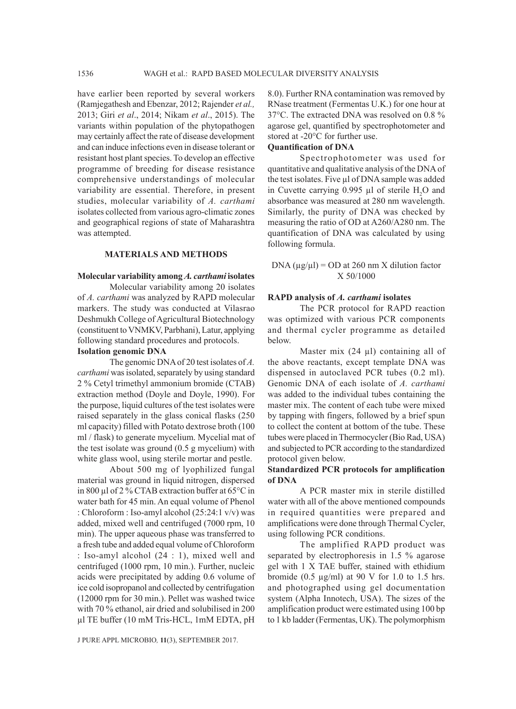have earlier been reported by several workers (Ramjegathesh and Ebenzar, 2012; Rajender *et al.,* 2013; Giri *et al*., 2014; Nikam *et al*., 2015). The variants within population of the phytopathogen may certainly affect the rate of disease development and can induce infections even in disease tolerant or resistant host plant species. To develop an effective programme of breeding for disease resistance comprehensive understandings of molecular variability are essential. Therefore, in present studies, molecular variability of *A. carthami*  isolates collected from various agro-climatic zones and geographical regions of state of Maharashtra was attempted.

### **MATERIALS AND METHODS**

#### **Molecular variability among** *A. carthami* **isolates**

Molecular variability among 20 isolates of *A. carthami* was analyzed by RAPD molecular markers. The study was conducted at Vilasrao Deshmukh College of Agricultural Biotechnology (constituent to VNMKV, Parbhani), Latur, applying following standard procedures and protocols.

### **Isolation genomic DNA**

The genomic DNA of 20 test isolates of *A. carthami* was isolated, separately by using standard 2 % Cetyl trimethyl ammonium bromide (CTAB) extraction method (Doyle and Doyle, 1990). For the purpose, liquid cultures of the test isolates were raised separately in the glass conical flasks (250 ml capacity) filled with Potato dextrose broth (100 ml / flask) to generate mycelium. Mycelial mat of the test isolate was ground (0.5 g mycelium) with white glass wool, using sterile mortar and pestle.

About 500 mg of lyophilized fungal material was ground in liquid nitrogen, dispersed in 800 µl of 2 % CTAB extraction buffer at 65°C in water bath for 45 min. An equal volume of Phenol : Chloroform : Iso-amyl alcohol (25:24:1 v/v) was added, mixed well and centrifuged (7000 rpm, 10 min). The upper aqueous phase was transferred to a fresh tube and added equal volume of Chloroform : Iso-amyl alcohol (24 : 1), mixed well and centrifuged (1000 rpm, 10 min.). Further, nucleic acids were precipitated by adding 0.6 volume of ice cold isopropanol and collected by centrifugation (12000 rpm for 30 min.). Pellet was washed twice with 70 % ethanol, air dried and solubilised in 200 µl TE buffer (10 mM Tris-HCL, 1mM EDTA, pH

8.0). Further RNA contamination was removed by RNase treatment (Fermentas U.K.) for one hour at 37°C. The extracted DNA was resolved on 0.8 % agarose gel, quantified by spectrophotometer and stored at -20°C for further use.

# **Quantification of DNA**

Spectrophotometer was used for quantitative and qualitative analysis of the DNA of the test isolates. Five µl of DNA sample was added in Cuvette carrying 0.995  $\mu$ l of sterile H<sub>2</sub>O and absorbance was measured at 280 nm wavelength. Similarly, the purity of DNA was checked by measuring the ratio of OD at A260/A280 nm. The quantification of DNA was calculated by using following formula.

DNA  $(\mu g/\mu l)$  = OD at 260 nm X dilution factor X 50/1000

#### **RAPD analysis of** *A. carthami* **isolates**

The PCR protocol for RAPD reaction was optimized with various PCR components and thermal cycler programme as detailed below.

Master mix  $(24 \mu l)$  containing all of the above reactants, except template DNA was dispensed in autoclaved PCR tubes (0.2 ml). Genomic DNA of each isolate of *A. carthami*  was added to the individual tubes containing the master mix. The content of each tube were mixed by tapping with fingers, followed by a brief spun to collect the content at bottom of the tube. These tubes were placed in Thermocycler (Bio Rad, USA) and subjected to PCR according to the standardized protocol given below.

### **Standardized PCR protocols for amplification of DNA**

A PCR master mix in sterile distilled water with all of the above mentioned compounds in required quantities were prepared and amplifications were done through Thermal Cycler, using following PCR conditions.

The amplified RAPD product was separated by electrophoresis in 1.5 % agarose gel with 1 X TAE buffer, stained with ethidium bromide (0.5  $\mu$ g/ml) at 90 V for 1.0 to 1.5 hrs. and photographed using gel documentation system (Alpha Innotech, USA). The sizes of the amplification product were estimated using 100 bp to 1 kb ladder (Fermentas, UK). The polymorphism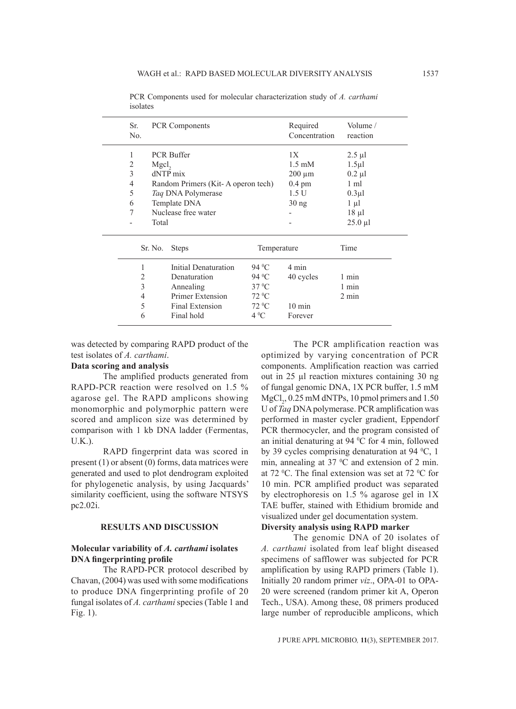| Sr.            | <b>PCR Components</b> |                                    | Required          |                  | Volume /        |  |
|----------------|-----------------------|------------------------------------|-------------------|------------------|-----------------|--|
| N <sub>0</sub> |                       |                                    | Concentration     | reaction         |                 |  |
| 1              |                       | <b>PCR Buffer</b>                  | 1X                | $2.5 \mu l$      |                 |  |
| 2              | Mgcl <sub>2</sub>     |                                    | $1.5 \text{ mM}$  | $1.5 \mu$        |                 |  |
| 3              |                       | dNTP mix                           | $200 \mu m$       | $0.2 \mu l$      |                 |  |
| 4              |                       | Random Primers (Kit-A operon tech) | $0.4 \text{ pm}$  | 1 ml             |                 |  |
| 5              |                       | Taq DNA Polymerase                 | 1.5 <sub>U</sub>  | $0.3 \mu$ l      |                 |  |
| 6              |                       | Template DNA                       | 30 <sub>ng</sub>  | $1 \mu l$        |                 |  |
| 7              |                       | Nuclease free water                |                   | $18 \mu l$       |                 |  |
|                | Total                 |                                    |                   |                  | $25.0$ µl       |  |
|                | Sr. No.               | <b>Steps</b>                       | Temperature       |                  | Time            |  |
| 1              |                       | <b>Initial Denaturation</b>        | 94 $^0$ C         | 4 min            |                 |  |
| 2              |                       | Denaturation                       | 94 <sup>o</sup> C | 40 cycles        | 1 min           |  |
| 3              |                       | Annealing                          | $37 \text{ °C}$   |                  | 1 min           |  |
| 4              |                       | Primer Extension                   | $72\text{ °C}$    |                  | $2 \text{ min}$ |  |
| 5              |                       | <b>Final Extension</b>             | $72\text{ °C}$    | $10 \text{ min}$ |                 |  |
| 6              |                       | Final hold                         | $4^{\circ}C$      | Forever          |                 |  |

PCR Components used for molecular characterization study of *A. carthami*  isolates

was detected by comparing RAPD product of the test isolates of *A. carthami*.

# **Data scoring and analysis**

The amplified products generated from RAPD-PCR reaction were resolved on 1.5 % agarose gel. The RAPD amplicons showing monomorphic and polymorphic pattern were scored and amplicon size was determined by comparison with 1 kb DNA ladder (Fermentas, U.K.).

RAPD fingerprint data was scored in present (1) or absent (0) forms, data matrices were generated and used to plot dendrogram exploited for phylogenetic analysis, by using Jacquards' similarity coefficient, using the software NTSYS pc2.02i.

# **RESULTS AND DISCUSSION**

### **Molecular variability of** *A. carthami* **isolates DNA fingerprinting profile**

The RAPD-PCR protocol described by Chavan, (2004) was used with some modifications to produce DNA fingerprinting profile of 20 fungal isolates of *A. carthami* species (Table 1 and Fig. 1).

The PCR amplification reaction was optimized by varying concentration of PCR components. Amplification reaction was carried out in 25 µl reaction mixtures containing 30 ng of fungal genomic DNA, 1X PCR buffer, 1.5 mM  $MgCl<sub>2</sub>$ , 0.25 mM dNTPs, 10 pmol primers and 1.50 U of *Taq* DNA polymerase. PCR amplification was performed in master cycler gradient, Eppendorf PCR thermocycler, and the program consisted of an initial denaturing at 94  $\rm{^0C}$  for 4 min, followed by 39 cycles comprising denaturation at 94  $°C$ , 1 min, annealing at  $37 \text{ °C}$  and extension of 2 min. at 72  $\rm{^0C}$ . The final extension was set at 72  $\rm{^0C}$  for 10 min. PCR amplified product was separated by electrophoresis on 1.5 % agarose gel in 1X TAE buffer, stained with Ethidium bromide and visualized under gel documentation system.

# **Diversity analysis using RAPD marker**

The genomic DNA of 20 isolates of *A. carthami* isolated from leaf blight diseased specimens of safflower was subjected for PCR amplification by using RAPD primers (Table 1). Initially 20 random primer *viz*., OPA-01 to OPA-20 were screened (random primer kit A, Operon Tech., USA). Among these, 08 primers produced large number of reproducible amplicons, which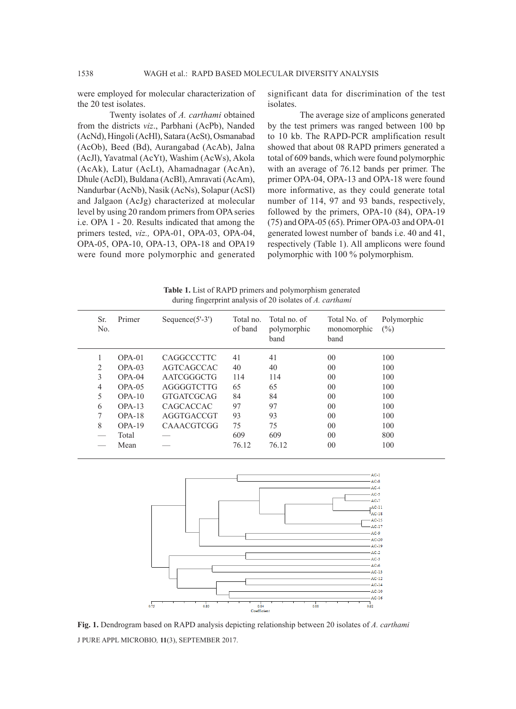were employed for molecular characterization of the 20 test isolates.

Twenty isolates of *A. carthami* obtained from the districts *viz*., Parbhani (AcPb), Nanded (AcNd), Hingoli (AcHl), Satara (AcSt), Osmanabad (AcOb), Beed (Bd), Aurangabad (AcAb), Jalna (AcJl), Yavatmal (AcYt), Washim (AcWs), Akola (AcAk), Latur (AcLt), Ahamadnagar (AcAn), Dhule (AcDl), Buldana (AcBl), Amravati (AcAm), Nandurbar (AcNb), Nasik (AcNs), Solapur (AcSl) and Jalgaon (AcJg) characterized at molecular level by using 20 random primers from OPA series i.e. OPA 1 - 20. Results indicated that among the primers tested, *viz.,* OPA-01, OPA-03, OPA-04, OPA-05, OPA-10, OPA-13, OPA-18 and OPA19 were found more polymorphic and generated

significant data for discrimination of the test isolates.

The average size of amplicons generated by the test primers was ranged between 100 bp to 10 kb. The RAPD-PCR amplification result showed that about 08 RAPD primers generated a total of 609 bands, which were found polymorphic with an average of 76.12 bands per primer. The primer OPA-04, OPA-13 and OPA-18 were found more informative, as they could generate total number of 114, 97 and 93 bands, respectively, followed by the primers, OPA-10 (84), OPA-19 (75) and OPA-05 (65). Primer OPA-03 and OPA-01 generated lowest number of bands i.e. 40 and 41, respectively (Table 1). All amplicons were found polymorphic with 100 % polymorphism.

**Table 1.** List of RAPD primers and polymorphism generated during fingerprint analysis of 20 isolates of *A. carthami*

| Sr.<br>No. | Primer    | Sequence $(5'-3')$ | Total no.<br>of band | Total no. of<br>polymorphic<br>band | Total No. of<br>monomorphic<br>band | Polymorphic<br>$(\%)$ |
|------------|-----------|--------------------|----------------------|-------------------------------------|-------------------------------------|-----------------------|
|            | $OPA-01$  | <b>CAGGCCCTTC</b>  | 41                   | 41                                  | 00                                  | 100                   |
| 2          | $OPA-03$  | AGTCAGCCAC         | 40                   | 40                                  | 00                                  | 100                   |
| 3          | $OPA-04$  | AATCGGGCTG         | 114                  | 114                                 | 00                                  | 100                   |
| 4          | $OPA-0.5$ | AGGGGTCTTG         | 65                   | 65                                  | 00                                  | 100                   |
| 5          | $OPA-10$  | <b>GTGATCGCAG</b>  | 84                   | 84                                  | 00                                  | 100                   |
| 6          | $OPA-13$  | CAGCACCAC          | 97                   | 97                                  | 00                                  | 100                   |
| 7          | $OPA-18$  | AGGTGACCGT         | 93                   | 93                                  | 00                                  | 100                   |
| 8          | $OPA-19$  | <b>CAAACGTCGG</b>  | 75                   | 75                                  | 00                                  | 100                   |
|            | Total     |                    | 609                  | 609                                 | 00                                  | 800                   |
|            | Mean      |                    | 76.12                | 76.12                               | 00                                  | 100                   |
|            |           |                    |                      |                                     |                                     |                       |



J PURE APPL MICROBIO*,* **11**(3), SEPTEMBER 2017. **Fig. 1.** Dendrogram based on RAPD analysis depicting relationship between 20 isolates of *A. carthami*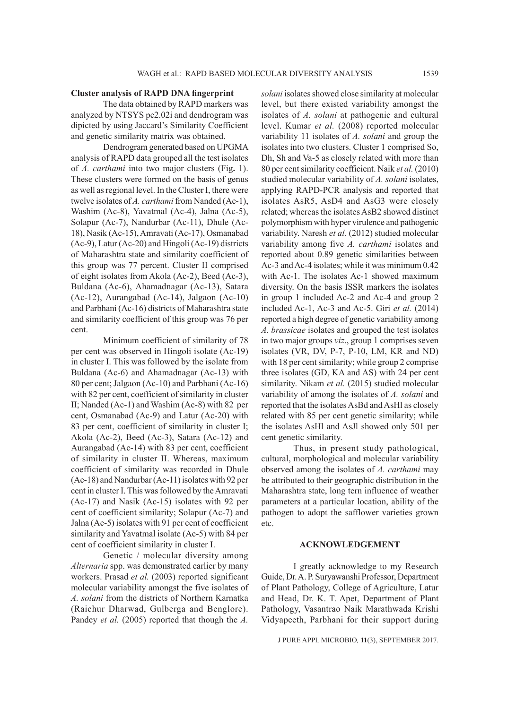# **Cluster analysis of RAPD DNA fingerprint**

The data obtained by RAPD markers was analyzed by NTSYS pc2.02i and dendrogram was dipicted by using Jaccard's Similarity Coefficient and genetic similarity matrix was obtained.

Dendrogram generated based on UPGMA analysis of RAPD data grouped all the test isolates of *A. carthami* into two major clusters (Fig**.** 1). These clusters were formed on the basis of genus as well as regional level. In the Cluster I, there were twelve isolates of *A. carthami* from Nanded (Ac-1), Washim (Ac-8), Yavatmal (Ac-4), Jalna (Ac-5), Solapur (Ac-7), Nandurbar (Ac-11), Dhule (Ac-18), Nasik (Ac-15), Amravati (Ac-17), Osmanabad (Ac-9), Latur (Ac-20) and Hingoli (Ac-19) districts of Maharashtra state and similarity coefficient of this group was 77 percent. Cluster II comprised of eight isolates from Akola (Ac-2), Beed (Ac-3), Buldana (Ac-6), Ahamadnagar (Ac-13), Satara (Ac-12), Aurangabad (Ac-14), Jalgaon (Ac-10) and Parbhani (Ac-16) districts of Maharashtra state and similarity coefficient of this group was 76 per cent.

Minimum coefficient of similarity of 78 per cent was observed in Hingoli isolate (Ac-19) in cluster I. This was followed by the isolate from Buldana (Ac-6) and Ahamadnagar (Ac-13) with 80 per cent; Jalgaon (Ac-10) and Parbhani (Ac-16) with 82 per cent, coefficient of similarity in cluster II; Nanded (Ac-1) and Washim (Ac-8) with 82 per cent, Osmanabad (Ac-9) and Latur (Ac-20) with 83 per cent, coefficient of similarity in cluster I; Akola (Ac-2), Beed (Ac-3), Satara (Ac-12) and Aurangabad (Ac-14) with 83 per cent, coefficient of similarity in cluster II. Whereas, maximum coefficient of similarity was recorded in Dhule (Ac-18) and Nandurbar (Ac-11) isolates with 92 per cent in cluster I. This was followed by the Amravati (Ac-17) and Nasik (Ac-15) isolates with 92 per cent of coefficient similarity; Solapur (Ac-7) and Jalna (Ac-5) isolates with 91 per cent of coefficient similarity and Yavatmal isolate (Ac-5) with 84 per cent of coefficient similarity in cluster I.

Genetic / molecular diversity among *Alternaria* spp. was demonstrated earlier by many workers. Prasad *et al.* (2003) reported significant molecular variability amongst the five isolates of *A. solani* from the districts of Northern Karnatka (Raichur Dharwad, Gulberga and Benglore). Pandey *et al.* (2005) reported that though the *A*.

*solani* isolates showed close similarity at molecular level, but there existed variability amongst the isolates of *A. solani* at pathogenic and cultural level. Kumar *et al.* (2008) reported molecular variability 11 isolates of *A. solani* and group the isolates into two clusters. Cluster 1 comprised So, Dh, Sh and Va-5 as closely related with more than 80 per cent similarity coefficient. Naik *et al.* (2010) studied molecular variability of *A. solani* isolates, applying RAPD-PCR analysis and reported that isolates AsR5, AsD4 and AsG3 were closely related; whereas the isolates AsB2 showed distinct polymorphism with hyper virulence and pathogenic variability. Naresh *et al.* (2012) studied molecular variability among five *A. carthami* isolates and reported about 0.89 genetic similarities between Ac-3 and Ac-4 isolates; while it was minimum 0.42 with Ac-1. The isolates Ac-1 showed maximum diversity. On the basis ISSR markers the isolates in group 1 included Ac-2 and Ac-4 and group 2 included Ac-1, Ac-3 and Ac-5. Giri *et al.* (2014) reported a high degree of genetic variability among *A. brassicae* isolates and grouped the test isolates in two major groups *viz*., group 1 comprises seven isolates (VR, DV, P-7, P-10, LM, KR and ND) with 18 per cent similarity; while group 2 comprise three isolates (GD, KA and AS) with 24 per cent similarity. Nikam *et al.* (2015) studied molecular variability of among the isolates of *A. solani* and reported that the isolates AsBd and AsHl as closely related with 85 per cent genetic similarity; while the isolates AsHl and AsJl showed only 501 per cent genetic similarity.

Thus, in present study pathological, cultural, morphological and molecular variability observed among the isolates of *A. carthami* may be attributed to their geographic distribution in the Maharashtra state, long tern influence of weather parameters at a particular location, ability of the pathogen to adopt the safflower varieties grown etc.

#### **ACKNOWLEDGEMENT**

I greatly acknowledge to my Research Guide, Dr. A. P. Suryawanshi Professor, Department of Plant Pathology, College of Agriculture, Latur and Head, Dr. K. T. Apet, Department of Plant Pathology, Vasantrao Naik Marathwada Krishi Vidyapeeth, Parbhani for their support during

J PURE APPL MICROBIO*,* **11**(3), SEPTEMBER 2017.